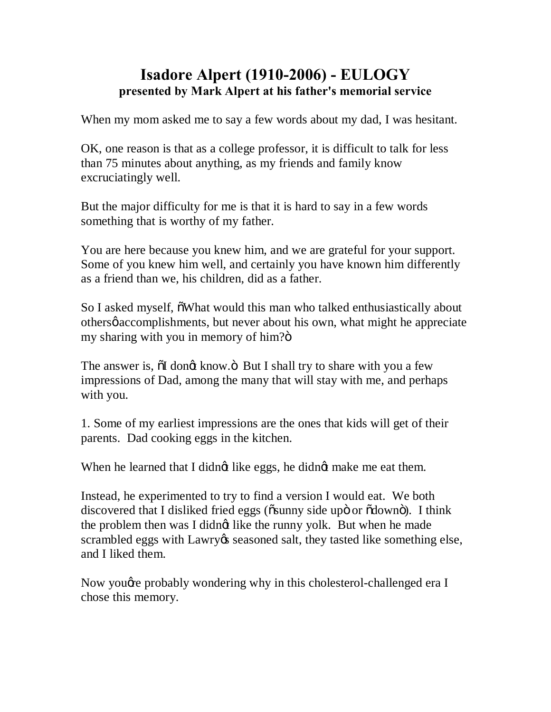## **Isadore Alpert (1910-2006) - EULOGY presented by Mark Alpert at his father's memorial service**

When my mom asked me to say a few words about my dad, I was hesitant.

OK, one reason is that as a college professor, it is difficult to talk for less than 75 minutes about anything, as my friends and family know excruciatingly well.

But the major difficulty for me is that it is hard to say in a few words something that is worthy of my father.

You are here because you knew him, and we are grateful for your support. Some of you knew him well, and certainly you have known him differently as a friend than we, his children, did as a father.

So I asked myself,  $\ddot{\text{o}}$ What would this man who talked enthusiastically about others accomplishments, but never about his own, what might he appreciate my sharing with you in memory of him?"

The answer is,  $\ddot{\text{o}}$ I dongt know. $\ddot{\text{o}}$  But I shall try to share with you a few impressions of Dad, among the many that will stay with me, and perhaps with you.

1. Some of my earliest impressions are the ones that kids will get of their parents. Dad cooking eggs in the kitchen.

When he learned that I didngt like eggs, he didngt make me eat them.

Instead, he experimented to try to find a version I would eat. We both discovered that I disliked fried eggs ( $\ddot{\text{o}}$ sunny side upö or  $\ddot{\text{o}}$ downö). I think the problem then was I didngt like the runny yolk. But when he made scrambled eggs with Lawry & seasoned salt, they tasted like something else, and I liked them.

Now you *g* e probably wondering why in this cholesterol-challenged era I chose this memory.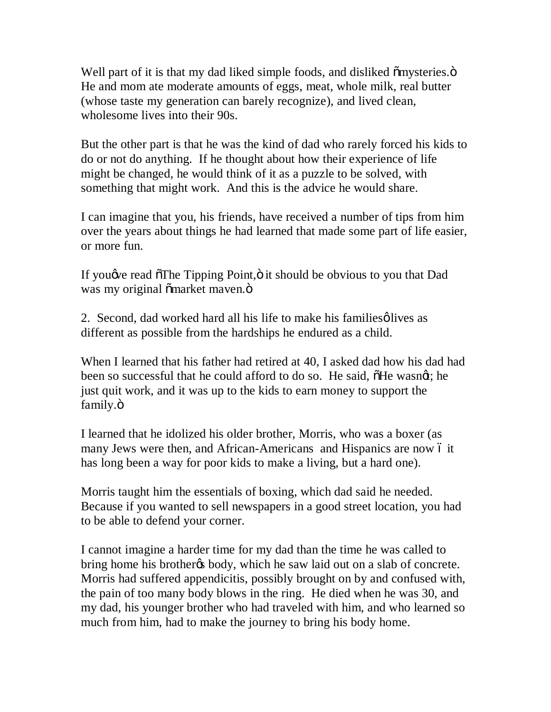Well part of it is that my dad liked simple foods, and disliked  $\tilde{\text{om}}$ ysteries. $\ddot{\text{o}}$ He and mom ate moderate amounts of eggs, meat, whole milk, real butter (whose taste my generation can barely recognize), and lived clean, wholesome lives into their 90s.

But the other part is that he was the kind of dad who rarely forced his kids to do or not do anything. If he thought about how their experience of life might be changed, he would think of it as a puzzle to be solved, with something that might work. And this is the advice he would share.

I can imagine that you, his friends, have received a number of tips from him over the years about things he had learned that made some part of life easier, or more fun.

If you we read  $\tilde{\sigma}$ The Tipping Point,  $\ddot{\sigma}$  it should be obvious to you that Dad was my original õmarket maven. Ö

2. Second, dad worked hard all his life to make his families olives as different as possible from the hardships he endured as a child.

When I learned that his father had retired at 40, I asked dad how his dad had been so successful that he could afford to do so. He said,  $\delta$ He wasnot; he just quit work, and it was up to the kids to earn money to support the family.ö

I learned that he idolized his older brother, Morris, who was a boxer (as many Jews were then, and African-Americans and Hispanics are now 6 it has long been a way for poor kids to make a living, but a hard one).

Morris taught him the essentials of boxing, which dad said he needed. Because if you wanted to sell newspapers in a good street location, you had to be able to defend your corner.

I cannot imagine a harder time for my dad than the time he was called to bring home his brother the body, which he saw laid out on a slab of concrete. Morris had suffered appendicitis, possibly brought on by and confused with, the pain of too many body blows in the ring. He died when he was 30, and my dad, his younger brother who had traveled with him, and who learned so much from him, had to make the journey to bring his body home.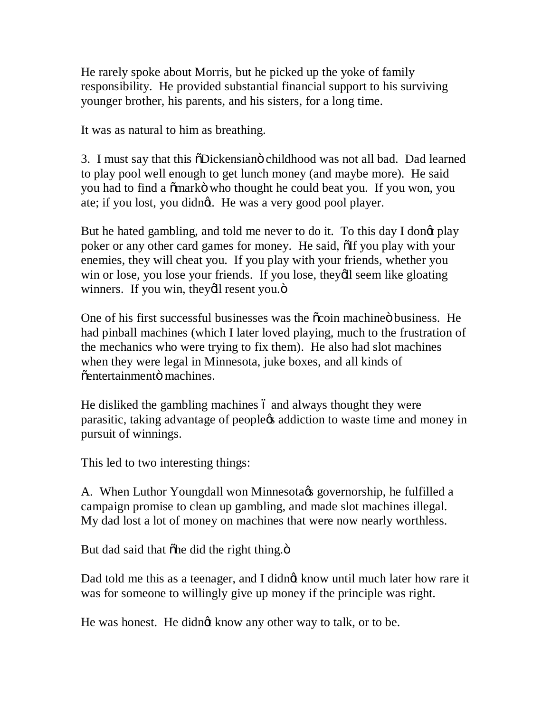He rarely spoke about Morris, but he picked up the yoke of family responsibility. He provided substantial financial support to his surviving younger brother, his parents, and his sisters, for a long time.

It was as natural to him as breathing.

3. I must say that this  $\delta$ Dickensiano childhood was not all bad. Dad learned to play pool well enough to get lunch money (and maybe more). He said you had to find a  $\delta$ mark $\ddot{\text{o}}$  who thought he could beat you. If you won, you ate; if you lost, you didngt. He was a very good pool player.

But he hated gambling, and told me never to do it. To this day I dongt play poker or any other card games for money. He said,  $\delta$ If you play with your enemies, they will cheat you. If you play with your friends, whether you win or lose, you lose your friends. If you lose, they'll seem like gloating winners. If you win, theydl resent you.ö

One of his first successful businesses was the  $\tilde{\text{o}}$ coin machine business. He had pinball machines (which I later loved playing, much to the frustration of the mechanics who were trying to fix them). He also had slot machines when they were legal in Minnesota, juke boxes, and all kinds of  $\tilde{o}$ entertainmentö machines.

He disliked the gambling machines 6 and always thought they were parasitic, taking advantage of people *s* addiction to waste time and money in pursuit of winnings.

This led to two interesting things:

A. When Luthor Youngdall won Minnesota & governorship, he fulfilled a campaign promise to clean up gambling, and made slot machines illegal. My dad lost a lot of money on machines that were now nearly worthless.

But dad said that  $\delta$ he did the right thing. $\ddot{\mathrm{o}}$ 

Dad told me this as a teenager, and I didnot know until much later how rare it was for someone to willingly give up money if the principle was right.

He was honest. He didngt know any other way to talk, or to be.